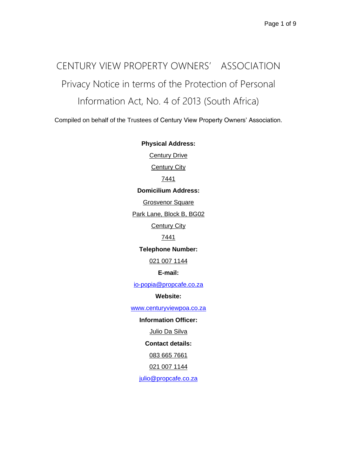# CENTURY VIEW PROPERTY OWNERS' ASSOCIATION Privacy Notice in terms of the Protection of Personal Information Act, No. 4 of 2013 (South Africa)

Compiled on behalf of the Trustees of Century View Property Owners' Association.

**Physical Address: Century Drive Century City** 7441 **Domicilium Address:** Grosvenor Square Park Lane, Block B, BG02 **Century City** 7441 **Telephone Number:** 021 007 1144 **E-mail:** [io-popia@propcafe.co.za](mailto:io-popia@propcafe.co.za) **Website:** [www.centuryviewpoa.co.za](http://www.centuryviewpoa.co.za/) **Information Officer:** Julio Da Silva **Contact details:** 083 665 7661 021 007 1144 [julio@propcafe.co.za](mailto:julio@propcafe.co.za)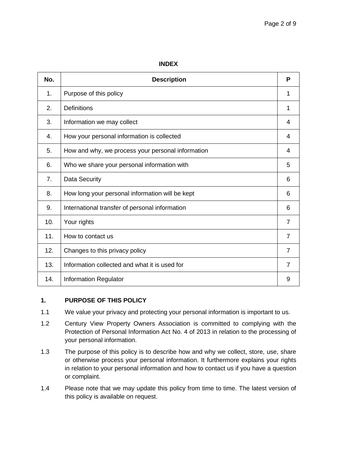#### **INDEX**

| No.            | <b>Description</b>                                | P              |
|----------------|---------------------------------------------------|----------------|
| 1.             | Purpose of this policy                            | 1              |
| 2.             | <b>Definitions</b>                                | 1              |
| 3.             | Information we may collect                        | 4              |
| 4.             | How your personal information is collected        | 4              |
| 5.             | How and why, we process your personal information | 4              |
| 6.             | Who we share your personal information with       | 5              |
| 7 <sub>1</sub> | Data Security                                     | 6              |
| 8.             | How long your personal information will be kept   | 6              |
| 9.             | International transfer of personal information    | 6              |
| 10.            | Your rights                                       | $\overline{7}$ |
| 11.            | How to contact us                                 | $\overline{7}$ |
| 12.            | Changes to this privacy policy                    | $\overline{7}$ |
| 13.            | Information collected and what it is used for     | 7              |
| 14.            | <b>Information Regulator</b>                      | 9              |

#### **1. PURPOSE OF THIS POLICY**

- 1.1 We value your privacy and protecting your personal information is important to us.
- 1.2 Century View Property Owners Association is committed to complying with the Protection of Personal Information Act No. 4 of 2013 in relation to the processing of your personal information.
- 1.3 The purpose of this policy is to describe how and why we collect, store, use, share or otherwise process your personal information. It furthermore explains your rights in relation to your personal information and how to contact us if you have a question or complaint.
- 1.4 Please note that we may update this policy from time to time. The latest version of this policy is available on request.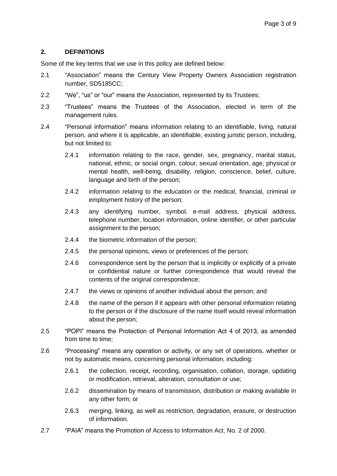#### **2. DEFINITIONS**

Some of the key terms that we use in this policy are defined below:

- 2.1 "Association" means the Century View Property Owners Association registration number, SD5185CC;
- 2.2 "We", "us" or "our" means the Association, represented by its Trustees;
- 2.3 "Trustees" means the Trustees of the Association, elected in term of the management rules.
- 2.4 "Personal information" means information relating to an identifiable, living, natural person, and where it is applicable, an identifiable, existing juristic person, including, but not limited to:
	- 2.4.1 information relating to the race, gender, sex, pregnancy, marital status, national, ethnic, or social origin, colour, sexual orientation, age, physical or mental health, well-being, disability, religion, conscience, belief, culture, language and birth of the person;
	- 2.4.2 information relating to the education or the medical, financial, criminal or employment history of the person;
	- 2.4.3 any identifying number, symbol, e-mail address, physical address, telephone number, location information, online identifier, or other particular assignment to the person;
	- 2.4.4 the biometric information of the person;
	- 2.4.5 the personal opinions, views or preferences of the person;
	- 2.4.6 correspondence sent by the person that is implicitly or explicitly of a private or confidential nature or further correspondence that would reveal the contents of the original correspondence;
	- 2.4.7 the views or opinions of another individual about the person; and
	- 2.4.8 the name of the person if it appears with other personal information relating to the person or if the disclosure of the name itself would reveal information about the person;
- 2.5 "POPI" means the Protection of Personal Information Act 4 of 2013, as amended from time to time;
- 2.6 "Processing" means any operation or activity, or any set of operations, whether or not by automatic means, concerning personal information, including:
	- 2.6.1 the collection, receipt, recording, organisation, collation, storage, updating or modification, retrieval, alteration, consultation or use;
	- 2.6.2 dissemination by means of transmission, distribution or making available in any other form; or
	- 2.6.3 merging, linking, as well as restriction, degradation, erasure, or destruction of information.
- 2.7 "PAIA" means the Promotion of Access to Information Act, No. 2 of 2000.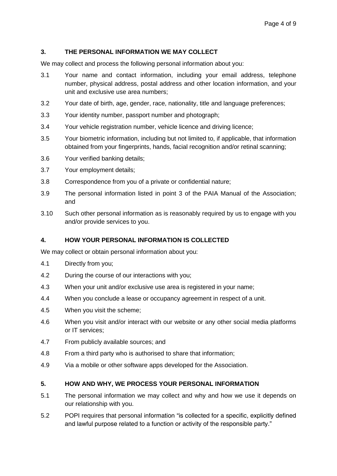#### **3. THE PERSONAL INFORMATION WE MAY COLLECT**

We may collect and process the following personal information about you:

- 3.1 Your name and contact information, including your email address, telephone number, physical address, postal address and other location information, and your unit and exclusive use area numbers;
- 3.2 Your date of birth, age, gender, race, nationality, title and language preferences;
- 3.3 Your identity number, passport number and photograph;
- 3.4 Your vehicle registration number, vehicle licence and driving licence;
- 3.5 Your biometric information, including but not limited to, if applicable, that information obtained from your fingerprints, hands, facial recognition and/or retinal scanning;
- 3.6 Your verified banking details;
- 3.7 Your employment details;
- 3.8 Correspondence from you of a private or confidential nature;
- 3.9 The personal information listed in point 3 of the PAIA Manual of the Association; and
- 3.10 Such other personal information as is reasonably required by us to engage with you and/or provide services to you.

#### **4. HOW YOUR PERSONAL INFORMATION IS COLLECTED**

We may collect or obtain personal information about you:

- 4.1 Directly from you;
- 4.2 During the course of our interactions with you;
- 4.3 When your unit and/or exclusive use area is registered in your name;
- 4.4 When you conclude a lease or occupancy agreement in respect of a unit.
- 4.5 When you visit the scheme;
- 4.6 When you visit and/or interact with our website or any other social media platforms or IT services;
- 4.7 From publicly available sources; and
- 4.8 From a third party who is authorised to share that information;
- 4.9 Via a mobile or other software apps developed for the Association.

#### **5. HOW AND WHY, WE PROCESS YOUR PERSONAL INFORMATION**

- 5.1 The personal information we may collect and why and how we use it depends on our relationship with you.
- 5.2 POPI requires that personal information "is collected for a specific, explicitly defined and lawful purpose related to a function or activity of the responsible party."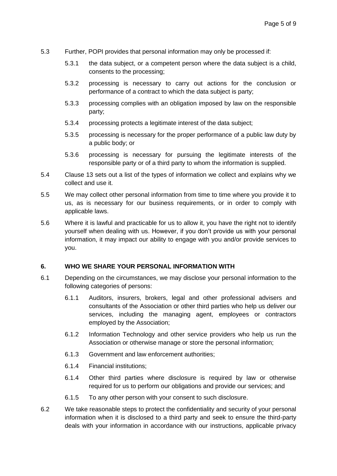- 5.3 Further, POPI provides that personal information may only be processed if:
	- 5.3.1 the data subject, or a competent person where the data subject is a child, consents to the processing;
	- 5.3.2 processing is necessary to carry out actions for the conclusion or performance of a contract to which the data subject is party;
	- 5.3.3 processing complies with an obligation imposed by law on the responsible party;
	- 5.3.4 processing protects a legitimate interest of the data subject;
	- 5.3.5 processing is necessary for the proper performance of a public law duty by a public body; or
	- 5.3.6 processing is necessary for pursuing the legitimate interests of the responsible party or of a third party to whom the information is supplied.
- 5.4 Clause 13 sets out a list of the types of information we collect and explains why we collect and use it.
- 5.5 We may collect other personal information from time to time where you provide it to us, as is necessary for our business requirements, or in order to comply with applicable laws.
- 5.6 Where it is lawful and practicable for us to allow it, you have the right not to identify yourself when dealing with us. However, if you don't provide us with your personal information, it may impact our ability to engage with you and/or provide services to you.

#### **6. WHO WE SHARE YOUR PERSONAL INFORMATION WITH**

- 6.1 Depending on the circumstances, we may disclose your personal information to the following categories of persons:
	- 6.1.1 Auditors, insurers, brokers, legal and other professional advisers and consultants of the Association or other third parties who help us deliver our services, including the managing agent, employees or contractors employed by the Association;
	- 6.1.2 Information Technology and other service providers who help us run the Association or otherwise manage or store the personal information;
	- 6.1.3 Government and law enforcement authorities;
	- 6.1.4 Financial institutions;
	- 6.1.4 Other third parties where disclosure is required by law or otherwise required for us to perform our obligations and provide our services; and
	- 6.1.5 To any other person with your consent to such disclosure.
- 6.2 We take reasonable steps to protect the confidentiality and security of your personal information when it is disclosed to a third party and seek to ensure the third-party deals with your information in accordance with our instructions, applicable privacy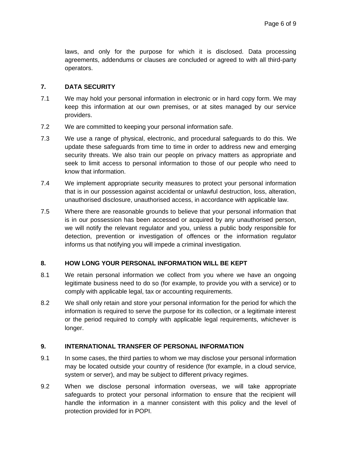laws, and only for the purpose for which it is disclosed. Data processing agreements, addendums or clauses are concluded or agreed to with all third-party operators.

#### **7. DATA SECURITY**

- 7.1 We may hold your personal information in electronic or in hard copy form. We may keep this information at our own premises, or at sites managed by our service providers.
- 7.2 We are committed to keeping your personal information safe.
- 7.3 We use a range of physical, electronic, and procedural safeguards to do this. We update these safeguards from time to time in order to address new and emerging security threats. We also train our people on privacy matters as appropriate and seek to limit access to personal information to those of our people who need to know that information.
- 7.4 We implement appropriate security measures to protect your personal information that is in our possession against accidental or unlawful destruction, loss, alteration, unauthorised disclosure, unauthorised access, in accordance with applicable law.
- 7.5 Where there are reasonable grounds to believe that your personal information that is in our possession has been accessed or acquired by any unauthorised person, we will notify the relevant regulator and you, unless a public body responsible for detection, prevention or investigation of offences or the information regulator informs us that notifying you will impede a criminal investigation.

#### **8. HOW LONG YOUR PERSONAL INFORMATION WILL BE KEPT**

- 8.1 We retain personal information we collect from you where we have an ongoing legitimate business need to do so (for example, to provide you with a service) or to comply with applicable legal, tax or accounting requirements.
- 8.2 We shall only retain and store your personal information for the period for which the information is required to serve the purpose for its collection, or a legitimate interest or the period required to comply with applicable legal requirements, whichever is longer.

#### **9. INTERNATIONAL TRANSFER OF PERSONAL INFORMATION**

- 9.1 In some cases, the third parties to whom we may disclose your personal information may be located outside your country of residence (for example, in a cloud service, system or server), and may be subject to different privacy regimes.
- 9.2 When we disclose personal information overseas, we will take appropriate safeguards to protect your personal information to ensure that the recipient will handle the information in a manner consistent with this policy and the level of protection provided for in POPI.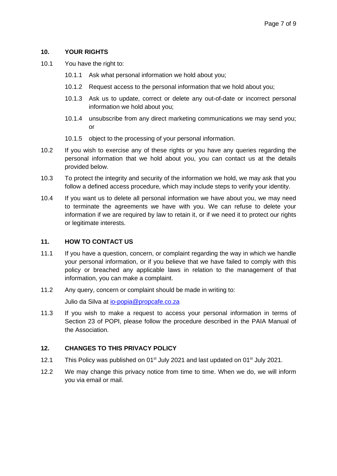#### **10. YOUR RIGHTS**

- 10.1 You have the right to:
	- 10.1.1 Ask what personal information we hold about you;
	- 10.1.2 Request access to the personal information that we hold about you;
	- 10.1.3 Ask us to update, correct or delete any out-of-date or incorrect personal information we hold about you;
	- 10.1.4 unsubscribe from any direct marketing communications we may send you; or
	- 10.1.5 object to the processing of your personal information.
- 10.2 If you wish to exercise any of these rights or you have any queries regarding the personal information that we hold about you, you can contact us at the details provided below.
- 10.3 To protect the integrity and security of the information we hold, we may ask that you follow a defined access procedure, which may include steps to verify your identity.
- 10.4 If you want us to delete all personal information we have about you, we may need to terminate the agreements we have with you. We can refuse to delete your information if we are required by law to retain it, or if we need it to protect our rights or legitimate interests.

#### **11. HOW TO CONTACT US**

- 11.1 If you have a question, concern, or complaint regarding the way in which we handle your personal information, or if you believe that we have failed to comply with this policy or breached any applicable laws in relation to the management of that information, you can make a complaint.
- 11.2 Any query, concern or complaint should be made in writing to:

Julio da Silva at [io-popia@propcafe.co.za](mailto:io-popia@propcafe.co.za)

11.3 If you wish to make a request to access your personal information in terms of Section 23 of POPI, please follow the procedure described in the PAIA Manual of the Association.

#### **12. CHANGES TO THIS PRIVACY POLICY**

- 12.1 This Policy was published on 01<sup>st</sup> July 2021 and last updated on 01<sup>st</sup> July 2021.
- 12.2 We may change this privacy notice from time to time. When we do, we will inform you via email or mail.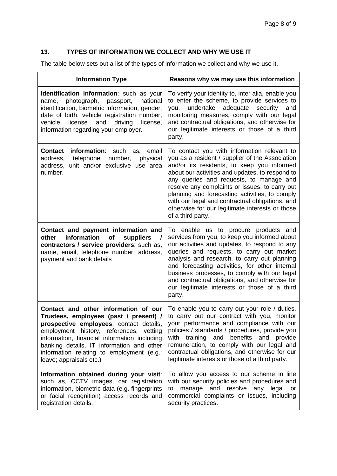### **13. TYPES OF INFORMATION WE COLLECT AND WHY WE USE IT**

The table below sets out a list of the types of information we collect and why we use it.

| <b>Information Type</b>                                                                                                                                                                                                                                                                                                                  | Reasons why we may use this information                                                                                                                                                                                                                                                                                                                                                                                                                                   |  |
|------------------------------------------------------------------------------------------------------------------------------------------------------------------------------------------------------------------------------------------------------------------------------------------------------------------------------------------|---------------------------------------------------------------------------------------------------------------------------------------------------------------------------------------------------------------------------------------------------------------------------------------------------------------------------------------------------------------------------------------------------------------------------------------------------------------------------|--|
| <b>Identification information:</b> such as your<br>photograph,<br>national<br>passport,<br>name,<br>identification, biometric information, gender,<br>date of birth, vehicle registration number,<br>vehicle<br>license<br>and<br>driving<br>license,<br>information regarding your employer.                                            | To verify your identity to, inter alia, enable you<br>to enter the scheme, to provide services to<br>undertake<br>adequate<br>security<br>you,<br>and<br>monitoring measures, comply with our legal<br>and contractual obligations, and otherwise for<br>our legitimate interests or those of a third<br>party.                                                                                                                                                           |  |
| information: such<br><b>Contact</b><br>email<br>as,<br>telephone<br>address,<br>number,<br>physical<br>unit and/or exclusive use area<br>address,<br>number.                                                                                                                                                                             | To contact you with information relevant to<br>you as a resident / supplier of the Association<br>and/or its residents, to keep you informed<br>about our activities and updates, to respond to<br>any queries and requests, to manage and<br>resolve any complaints or issues, to carry out<br>planning and forecasting activities, to comply<br>with our legal and contractual obligations, and<br>otherwise for our legitimate interests or those<br>of a third party. |  |
| Contact and payment information and<br>information<br>other<br>of<br>suppliers<br>$\overline{\phantom{a}}$<br>contractors / service providers: such as,<br>name, email, telephone number, address,<br>payment and bank details                                                                                                           | To enable us to procure products and<br>services from you, to keep you informed about<br>our activities and updates, to respond to any<br>queries and requests, to carry out market<br>analysis and research, to carry out planning<br>and forecasting activities, for other internal<br>business processes, to comply with our legal<br>and contractual obligations, and otherwise for<br>our legitimate interests or those of a third<br>party.                         |  |
| Contact and other information of our<br>Trustees, employees (past / present) /<br>prospective employees: contact details<br>employment history, references, vetting<br>information, financial information including<br>banking details, IT information and other<br>information relating to employment (e.g.:<br>leave; appraisals etc.) | To enable you to carry out your role / duties,<br>to carry out our contract with you, monitor<br>your performance and compliance with our<br>policies / standards / procedures, provide you<br>with training and benefits and provide<br>remuneration, to comply with our legal and<br>contractual obligations, and otherwise for our<br>legitimate interests or those of a third party.                                                                                  |  |
| Information obtained during your visit:<br>such as, CCTV images, car registration<br>information, biometric data (e.g. fingerprints<br>or facial recognition) access records and<br>registration details.                                                                                                                                | To allow you access to our scheme in line<br>with our security policies and procedures and<br>manage and resolve any<br>legal<br>or<br>to<br>commercial complaints or issues, including<br>security practices.                                                                                                                                                                                                                                                            |  |